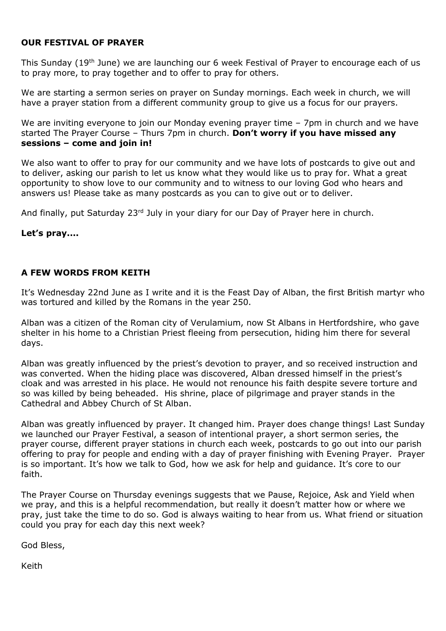### **OUR FESTIVAL OF PRAYER**

This Sunday (19th June) we are launching our 6 week Festival of Prayer to encourage each of us to pray more, to pray together and to offer to pray for others.

We are starting a sermon series on prayer on Sunday mornings. Each week in church, we will have a prayer station from a different community group to give us a focus for our prayers.

We are inviting everyone to join our Monday evening prayer time - 7pm in church and we have started The Prayer Course – Thurs 7pm in church. **Don't worry if you have missed any sessions – come and join in!**

We also want to offer to pray for our community and we have lots of postcards to give out and to deliver, asking our parish to let us know what they would like us to pray for. What a great opportunity to show love to our community and to witness to our loving God who hears and answers us! Please take as many postcards as you can to give out or to deliver.

And finally, put Saturday 23<sup>rd</sup> July in your diary for our Day of Prayer here in church.

#### **Let's pray....**

### **A FEW WORDS FROM KEITH**

It's Wednesday 22nd June as I write and it is the Feast Day of Alban, the first British martyr who was tortured and killed by the Romans in the year 250.

Alban was a citizen of the Roman city of Verulamium, now St Albans in Hertfordshire, who gave shelter in his home to a Christian Priest fleeing from persecution, hiding him there for several days.

Alban was greatly influenced by the priest's devotion to prayer, and so received instruction and was converted. When the hiding place was discovered, Alban dressed himself in the priest's cloak and was arrested in his place. He would not renounce his faith despite severe torture and so was killed by being beheaded. His shrine, place of pilgrimage and prayer stands in the Cathedral and Abbey Church of St Alban.

Alban was greatly influenced by prayer. It changed him. Prayer does change things! Last Sunday we launched our Prayer Festival, a season of intentional prayer, a short sermon series, the prayer course, different prayer stations in church each week, postcards to go out into our parish offering to pray for people and ending with a day of prayer finishing with Evening Prayer. Prayer is so important. It's how we talk to God, how we ask for help and guidance. It's core to our faith.

The Prayer Course on Thursday evenings suggests that we Pause, Rejoice, Ask and Yield when we pray, and this is a helpful recommendation, but really it doesn't matter how or where we pray, just take the time to do so. God is always waiting to hear from us. What friend or situation could you pray for each day this next week?

God Bless,

Keith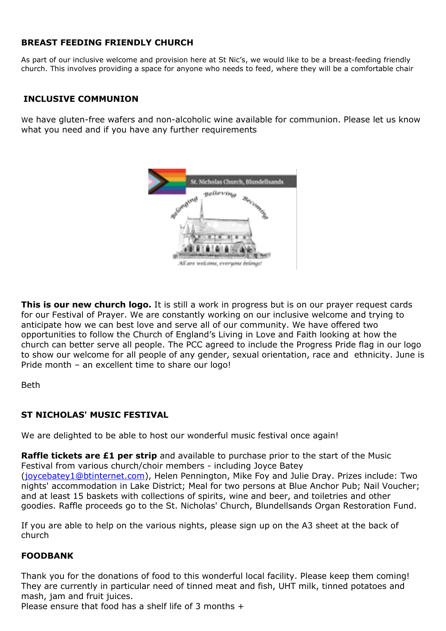## **BREAST FEEDING FRIENDLY CHURCH**

As part of our inclusive welcome and provision here at St Nic's, we would like to be a breast-feeding friendly church. This involves providing a space for anyone who needs to feed, where they will be a comfortable chair

## **INCLUSIVE COMMUNION**

We have gluten-free wafers and non-alcoholic wine available for communion. Please let us know what you need and if you have any further requirements



**This is our new church logo.** It is still a work in progress but is on our prayer request cards for our Festival of Prayer. We are constantly working on our inclusive welcome and trying to anticipate how we can best love and serve all of our community. We have offered two opportunities to follow the Church of England's Living in Love and Faith looking at how the church can better serve all people. The PCC agreed to include the Progress Pride flag in our logo to show our welcome for all people of any gender, sexual orientation, race and ethnicity. June is

Beth

### **ST NICHOLAS' MUSIC FESTIVAL**

Pride month – an excellent time to share our logo!

We are delighted to be able to host our wonderful music festival once again!

**Raffle tickets are £1 per strip** and available to purchase prior to the start of the Music Festival from various church/choir members - including Joyce Batey [\(joycebatey1@btinternet.com\)](mailto:joycebatey1@btinternet.com), Helen Pennington, Mike Foy and Julie Dray. Prizes include: Two nights' accommodation in Lake District; Meal for two persons at Blue Anchor Pub; Nail Voucher; and at least 15 baskets with collections of spirits, wine and beer, and toiletries and other goodies. Raffle proceeds go to the St. Nicholas' Church, Blundellsands Organ Restoration Fund.

If you are able to help on the various nights, please sign up on the A3 sheet at the back of church

### **FOODBANK**

Thank you for the donations of food to this wonderful local facility. Please keep them coming! They are currently in particular need of tinned meat and fish, UHT milk, tinned potatoes and mash, jam and fruit juices.

Please ensure that food has a shelf life of 3 months +